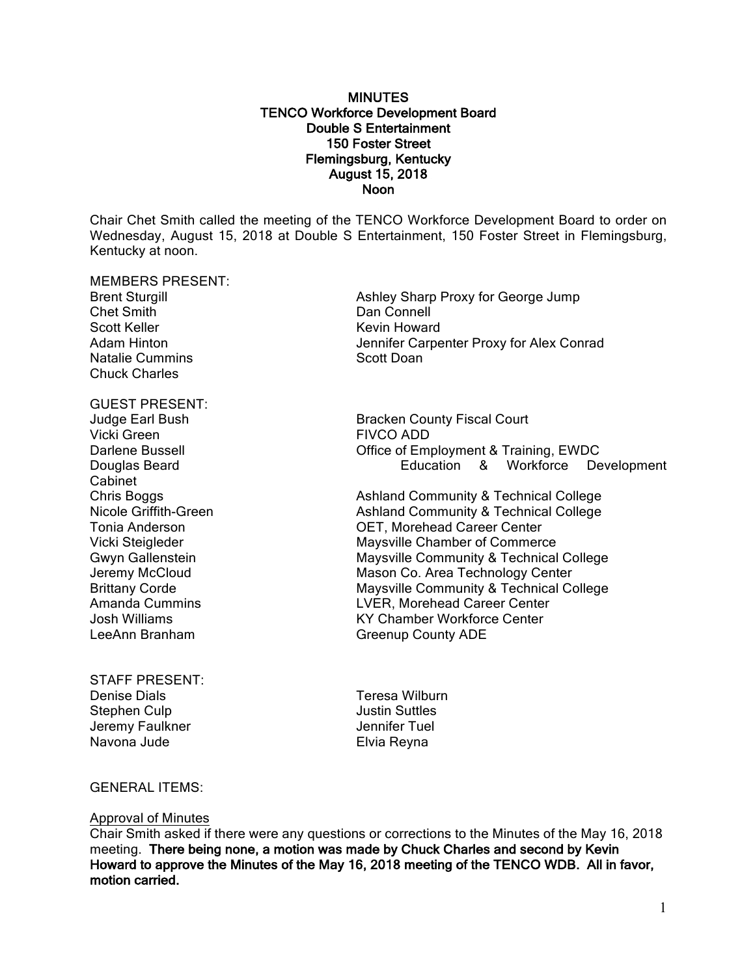#### **MINUTES** TENCO Workforce Development Board Double S Entertainment 150 Foster Street Flemingsburg, Kentucky August 15, 2018 Noon

Chair Chet Smith called the meeting of the TENCO Workforce Development Board to order on Wednesday, August 15, 2018 at Double S Entertainment, 150 Foster Street in Flemingsburg, Kentucky at noon.

MEMBERS PRESENT: Chet Smith<br>
Scott Keller<br>
Scott Keller<br>
Connell Natalie Cummins **Scott Doan** Chuck Charles

# GUEST PRESENT:

Vicki Green FIVCO ADD Cabinet<br>Chris Boggs

STAFF PRESENT: Denise Dials Teresa Wilburn Stephen Culp **Justin Suttles** Jeremy Faulkner **Jennifer Tuel** Navona Jude **Elvia Reyna** 

Brent Sturgill Ashley Sharp Proxy for George Jump Kevin Howard Adam Hinton **Matter Carpenter Proxy for Alex Conrad** 

Judge Earl Bush Bracken County Fiscal Court Darlene Bussell Office of Employment & Training, EWDC Douglas Beard Education & Workforce Development

Ashland Community & Technical College Nicole Griffith-Green **Ashland Community & Technical College** Tonia Anderson OET, Morehead Career Center Vicki Steigleder Maysville Chamber of Commerce Gwyn Gallenstein Maysville Community & Technical College Jeremy McCloud Mason Co. Area Technology Center Brittany Corde<br>
Amanda Cummins<br>
Maysville Community & Technical College<br>
LVER, Morehead Career Center LVER, Morehead Career Center Josh Williams KY Chamber Workforce Center LeeAnn Branham Greenup County ADE

#### GENERAL ITEMS:

#### Approval of Minutes

Chair Smith asked if there were any questions or corrections to the Minutes of the May 16, 2018 meeting. There being none, a motion was made by Chuck Charles and second by Kevin Howard to approve the Minutes of the May 16, 2018 meeting of the TENCO WDB. All in favor, motion carried.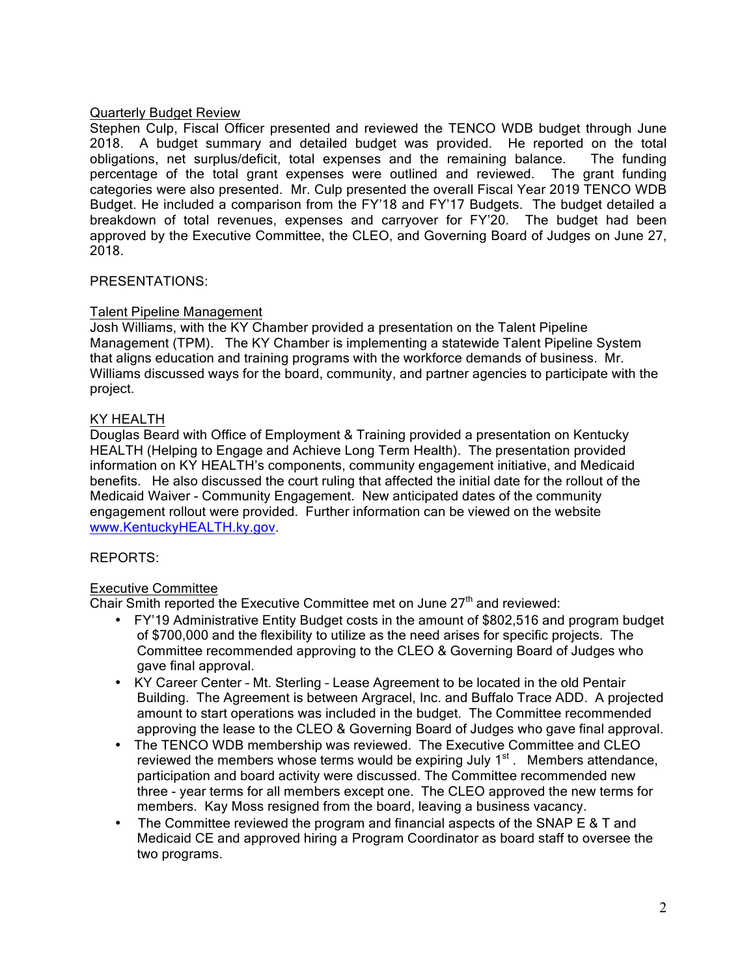### Quarterly Budget Review

Stephen Culp, Fiscal Officer presented and reviewed the TENCO WDB budget through June 2018. A budget summary and detailed budget was provided. He reported on the total obligations, net surplus/deficit, total expenses and the remaining balance. The funding percentage of the total grant expenses were outlined and reviewed. The grant funding categories were also presented. Mr. Culp presented the overall Fiscal Year 2019 TENCO WDB Budget. He included a comparison from the FY'18 and FY'17 Budgets. The budget detailed a breakdown of total revenues, expenses and carryover for FY'20. The budget had been approved by the Executive Committee, the CLEO, and Governing Board of Judges on June 27, 2018.

### PRESENTATIONS:

### Talent Pipeline Management

Josh Williams, with the KY Chamber provided a presentation on the Talent Pipeline Management (TPM). The KY Chamber is implementing a statewide Talent Pipeline System that aligns education and training programs with the workforce demands of business. Mr. Williams discussed ways for the board, community, and partner agencies to participate with the project.

### KY HEALTH

Douglas Beard with Office of Employment & Training provided a presentation on Kentucky HEALTH (Helping to Engage and Achieve Long Term Health). The presentation provided information on KY HEALTH's components, community engagement initiative, and Medicaid benefits. He also discussed the court ruling that affected the initial date for the rollout of the Medicaid Waiver - Community Engagement. New anticipated dates of the community engagement rollout were provided. Further information can be viewed on the website www.KentuckyHEALTH.ky.gov.

### REPORTS:

### Executive Committee

Chair Smith reported the Executive Committee met on June  $27<sup>th</sup>$  and reviewed:

- FY'19 Administrative Entity Budget costs in the amount of \$802,516 and program budget of \$700,000 and the flexibility to utilize as the need arises for specific projects. The Committee recommended approving to the CLEO & Governing Board of Judges who gave final approval.
- KY Career Center Mt. Sterling Lease Agreement to be located in the old Pentair Building. The Agreement is between Argracel, Inc. and Buffalo Trace ADD. A projected amount to start operations was included in the budget. The Committee recommended approving the lease to the CLEO & Governing Board of Judges who gave final approval.
- The TENCO WDB membership was reviewed. The Executive Committee and CLEO reviewed the members whose terms would be expiring July  $1<sup>st</sup>$ . Members attendance, participation and board activity were discussed. The Committee recommended new three - year terms for all members except one. The CLEO approved the new terms for members. Kay Moss resigned from the board, leaving a business vacancy.
- The Committee reviewed the program and financial aspects of the SNAP E & T and Medicaid CE and approved hiring a Program Coordinator as board staff to oversee the two programs.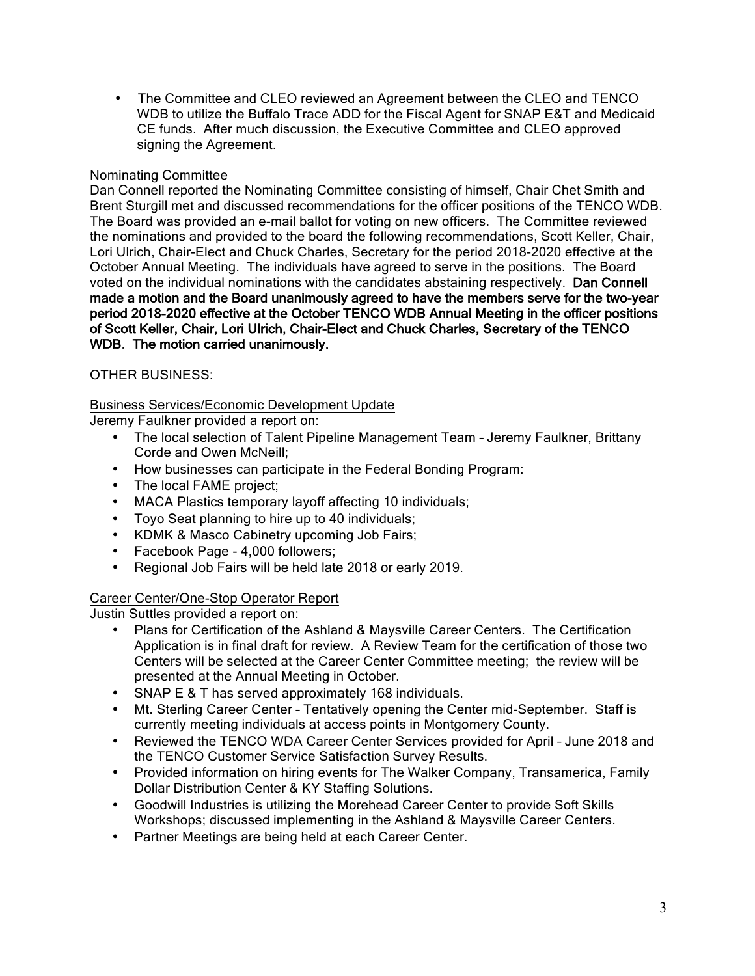• The Committee and CLEO reviewed an Agreement between the CLEO and TENCO WDB to utilize the Buffalo Trace ADD for the Fiscal Agent for SNAP E&T and Medicaid CE funds. After much discussion, the Executive Committee and CLEO approved signing the Agreement.

## Nominating Committee

Dan Connell reported the Nominating Committee consisting of himself, Chair Chet Smith and Brent Sturgill met and discussed recommendations for the officer positions of the TENCO WDB. The Board was provided an e-mail ballot for voting on new officers. The Committee reviewed the nominations and provided to the board the following recommendations, Scott Keller, Chair, Lori Ulrich, Chair-Elect and Chuck Charles, Secretary for the period 2018-2020 effective at the October Annual Meeting. The individuals have agreed to serve in the positions. The Board voted on the individual nominations with the candidates abstaining respectively. Dan Connell made a motion and the Board unanimously agreed to have the members serve for the two-year period 2018-2020 effective at the October TENCO WDB Annual Meeting in the officer positions of Scott Keller, Chair, Lori Ulrich, Chair-Elect and Chuck Charles, Secretary of the TENCO WDB. The motion carried unanimously.

# OTHER BUSINESS:

Business Services/Economic Development Update

Jeremy Faulkner provided a report on:

- The local selection of Talent Pipeline Management Team Jeremy Faulkner, Brittany Corde and Owen McNeill;
- How businesses can participate in the Federal Bonding Program:
- The local FAME project;
- MACA Plastics temporary layoff affecting 10 individuals;
- Toyo Seat planning to hire up to 40 individuals;
- KDMK & Masco Cabinetry upcoming Job Fairs;
- Facebook Page 4,000 followers;
- Regional Job Fairs will be held late 2018 or early 2019.

### Career Center/One-Stop Operator Report

Justin Suttles provided a report on:

- Plans for Certification of the Ashland & Maysville Career Centers. The Certification Application is in final draft for review. A Review Team for the certification of those two Centers will be selected at the Career Center Committee meeting; the review will be presented at the Annual Meeting in October.
- SNAP E & T has served approximately 168 individuals.<br>• Mt. Sterling Career Center Tentatively opening the Center
- Mt. Sterling Career Center Tentatively opening the Center mid-September. Staff is currently meeting individuals at access points in Montgomery County.
- Reviewed the TENCO WDA Career Center Services provided for April June 2018 and the TENCO Customer Service Satisfaction Survey Results.
- Provided information on hiring events for The Walker Company, Transamerica, Family Dollar Distribution Center & KY Staffing Solutions.
- Goodwill Industries is utilizing the Morehead Career Center to provide Soft Skills Workshops; discussed implementing in the Ashland & Maysville Career Centers.
- Partner Meetings are being held at each Career Center.